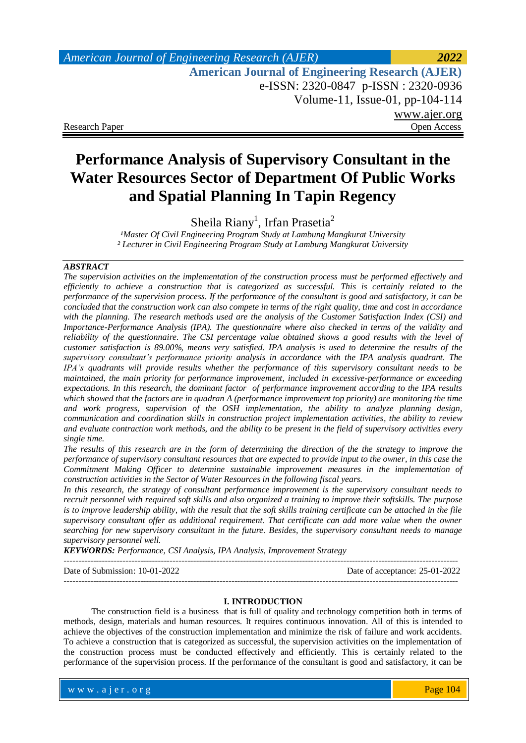## *American Journal of Engineering Research (AJER) 2022*  **American Journal of Engineering Research (AJER)** e-ISSN: 2320-0847 p-ISSN : 2320-0936 Volume-11, Issue-01, pp-104-114 www.ajer.org Research Paper **Open Access** Open Access **Open Access**

# **Performance Analysis of Supervisory Consultant in the Water Resources Sector of Department Of Public Works and Spatial Planning In Tapin Regency**

Sheila Riany<sup>1</sup>, Irfan Prasetia<sup>2</sup>

<sup>1</sup>Master Of Civil Engineering Program Study at Lambung Mangkurat University *² Lecturer in Civil Engineering Program Study at Lambung Mangkurat University* 

### *ABSTRACT*

*The supervision activities on the implementation of the construction process must be performed effectively and efficiently to achieve a construction that is categorized as successful. This is certainly related to the performance of the supervision process. If the performance of the consultant is good and satisfactory, it can be concluded that the construction work can also compete in terms of the right quality, time and cost in accordance with the planning. The research methods used are the analysis of the Customer Satisfaction Index (CSI) and Importance-Performance Analysis (IPA). The questionnaire where also checked in terms of the validity and reliability of the questionnaire. The CSI percentage value obtained shows a good results with the level of customer satisfaction is 89.00%, means very satisfied. IPA analysis is used to determine the results of the supervisory consultant's performance priority analysis in accordance with the IPA analysis quadrant. The IPA's quadrants will provide results whether the performance of this supervisory consultant needs to be maintained, the main priority for performance improvement, included in excessive-performance or exceeding expectations. In this research, the dominant factor of performance improvement according to the IPA results which showed that the factors are in quadran A (performance improvement top priority) are monitoring the time and work progress, supervision of the OSH implementation, the ability to analyze planning design, communication and coordination skills in construction project implementation activities, the ability to review and evaluate contraction work methods, and the ability to be present in the field of supervisory activities every single time.*

*The results of this research are in the form of determining the direction of the the strategy to improve the performance of supervisory consultant resources that are expected to provide input to the owner, in this case the Commitment Making Officer to determine sustainable improvement measures in the implementation of construction activities in the Sector of Water Resources in the following fiscal years.*

*In this research, the strategy of consultant performance improvement is the supervisory consultant needs to recruit personnel with required soft skills and also organized a training to improve their softskills. The purpose is to improve leadership ability, with the result that the soft skills training certificate can be attached in the file supervisory consultant offer as additional requirement. That certificate can add more value when the owner searching for new supervisory consultant in the future. Besides, the supervisory consultant needs to manage supervisory personnel well.*

*KEYWORDS: Performance, CSI Analysis, IPA Analysis, Improvement Strategy*

Date of Submission: 10-01-2022 Date of acceptance: 25-01-2022 --------------------------------------------------------------------------------------------------------------------------------------

### **I. INTRODUCTION**

The construction field is a business that is full of quality and technology competition both in terms of methods, design, materials and human resources. It requires continuous innovation. All of this is intended to achieve the objectives of the construction implementation and minimize the risk of failure and work accidents. To achieve a construction that is categorized as successful, the supervision activities on the implementation of the construction process must be conducted effectively and efficiently. This is certainly related to the performance of the supervision process. If the performance of the consultant is good and satisfactory, it can be

www.ajer.org where  $\mathcal{L} = \mathcal{L} \left( \mathcal{L} \right)$  is the set of  $\mathcal{L} \left( \mathcal{L} \right)$ 

 $-1\leq i\leq n-1$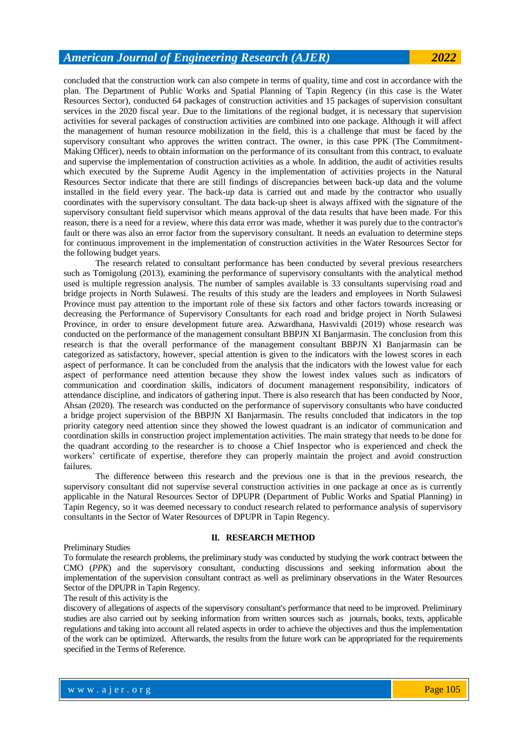concluded that the construction work can also compete in terms of quality, time and cost in accordance with the plan. The Department of Public Works and Spatial Planning of Tapin Regency (in this case is the Water Resources Sector), conducted 64 packages of construction activities and 15 packages of supervision consultant services in the 2020 fiscal year. Due to the limitations of the regional budget, it is necessary that supervision activities for several packages of construction activities are combined into one package. Although it will affect the management of human resource mobilization in the field, this is a challenge that must be faced by the supervisory consultant who approves the written contract. The owner, in this case PPK (The Commitment-Making Officer), needs to obtain information on the performance of its consultant from this contract, to evaluate and supervise the implementation of construction activities as a whole. In addition, the audit of activities results which executed by the Supreme Audit Agency in the implementation of activities projects in the Natural Resources Sector indicate that there are still findings of discrepancies between back-up data and the volume installed in the field every year. The back-up data is carried out and made by the contractor who usually coordinates with the supervisory consultant. The data back-up sheet is always affixed with the signature of the supervisory consultant field supervisor which means approval of the data results that have been made. For this reason, there is a need for a review, where this data error was made, whether it was purely due to the contractor's fault or there was also an error factor from the supervisory consultant. It needs an evaluation to determine steps for continuous improvement in the implementation of construction activities in the Water Resources Sector for the following budget years.

The research related to consultant performance has been conducted by several previous researchers such as Tomigolung (2013), examining the performance of supervisory consultants with the analytical method used is multiple regression analysis. The number of samples available is 33 consultants supervising road and bridge projects in North Sulawesi. The results of this study are the leaders and employees in North Sulawesi Province must pay attention to the important role of these six factors and other factors towards increasing or decreasing the Performance of Supervisory Consultants for each road and bridge project in North Sulawesi Province, in order to ensure development future area. Azwardhana, Hasvivaldi (2019) whose research was conducted on the performance of the management consultant BBPJN XI Banjarmasin. The conclusion from this research is that the overall performance of the management consultant BBPJN XI Banjarmasin can be categorized as satisfactory, however, special attention is given to the indicators with the lowest scores in each aspect of performance. It can be concluded from the analysis that the indicators with the lowest value for each aspect of performance need attention because they show the lowest index values such as indicators of communication and coordination skills, indicators of document management responsibility, indicators of attendance discipline, and indicators of gathering input. There is also research that has been conducted by Noor, Ahsan (2020). The research was conducted on the performance of supervisory consultants who have conducted a bridge project supervision of the BBPJN XI Banjarmasin. The results concluded that indicators in the top priority category need attention since they showed the lowest quadrant is an indicator of communication and coordination skills in construction project implementation activities. The main strategy that needs to be done for the quadrant according to the researcher is to choose a Chief Inspector who is experienced and check the workers' certificate of expertise, therefore they can properly maintain the project and avoid construction failures.

The difference between this research and the previous one is that in the previous research, the supervisory consultant did not supervise several construction activities in one package at once as is currently applicable in the Natural Resources Sector of DPUPR (Department of Public Works and Spatial Planning) in Tapin Regency, so it was deemed necessary to conduct research related to performance analysis of supervisory consultants in the Sector of Water Resources of DPUPR in Tapin Regency.

#### Preliminary Studies

### **II. RESEARCH METHOD**

To formulate the research problems, the preliminary study was conducted by studying the work contract between the CMO (*PPK*) and the supervisory consultant, conducting discussions and seeking information about the implementation of the supervision consultant contract as well as preliminary observations in the Water Resources Sector of the DPUPR in Tapin Regency.

The result of this activity is the

discovery of allegations of aspects of the supervisory consultant's performance that need to be improved. Preliminary studies are also carried out by seeking information from written sources such as journals, books, texts, applicable regulations and taking into account all related aspects in order to achieve the objectives and thus the implementation of the work can be optimized. Afterwards, the results from the future work can be appropriated for the requirements specified in the Terms of Reference.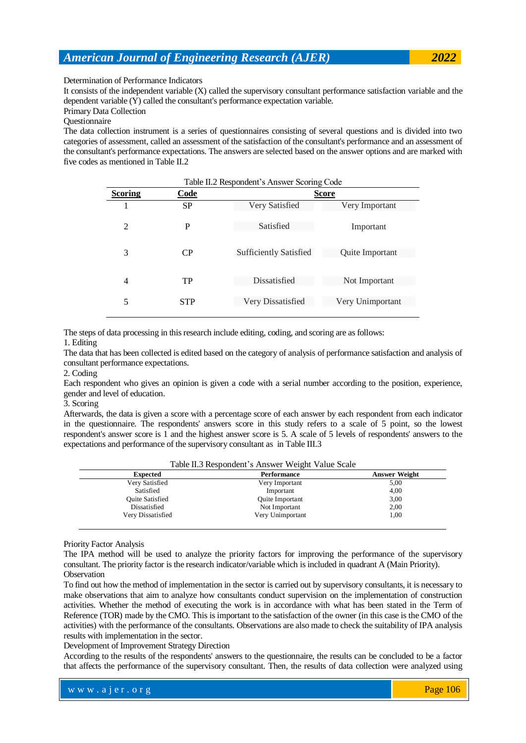Determination of Performance Indicators

It consists of the independent variable (X) called the supervisory consultant performance satisfaction variable and the dependent variable (Y) called the consultant's performance expectation variable.

Primary Data Collection

Questionnaire

The data collection instrument is a series of questionnaires consisting of several questions and is divided into two categories of assessment, called an assessment of the satisfaction of the consultant's performance and an assessment of the consultant's performance expectations. The answers are selected based on the answer options and are marked with five codes as mentioned in Table II.2.

| Table II.2 Respondent's Answer Scoring Code |            |                               |                  |  |  |  |  |
|---------------------------------------------|------------|-------------------------------|------------------|--|--|--|--|
| <b>Scoring</b>                              | Code       |                               | <b>Score</b>     |  |  |  |  |
|                                             | <b>SP</b>  | Very Satisfied                | Very Important   |  |  |  |  |
| $\overline{2}$                              | P          | Satisfied                     | Important        |  |  |  |  |
| 3                                           | CР         | <b>Sufficiently Satisfied</b> | Quite Important  |  |  |  |  |
| 4                                           | TP         | Dissatisfied                  | Not Important    |  |  |  |  |
| 5                                           | <b>STP</b> | Very Dissatisfied             | Very Unimportant |  |  |  |  |

The steps of data processing in this research include editing, coding, and scoring are as follows:

1. Editing

The data that has been collected is edited based on the category of analysis of performance satisfaction and analysis of consultant performance expectations.

2. Coding

Each respondent who gives an opinion is given a code with a serial number according to the position, experience, gender and level of education.

3. Scoring

Afterwards, the data is given a score with a percentage score of each answer by each respondent from each indicator in the questionnaire. The respondents' answers score in this study refers to a scale of 5 point, so the lowest respondent's answer score is 1 and the highest answer score is 5. A scale of 5 levels of respondents' answers to the expectations and performance of the supervisory consultant as in Table III.3

|                        | Table II.5 Respondent s Allswer weight value Scale |                      |  |  |  |  |
|------------------------|----------------------------------------------------|----------------------|--|--|--|--|
| <b>Expected</b>        | Performance                                        | <b>Answer Weight</b> |  |  |  |  |
| Very Satisfied         | Very Important                                     | 5,00                 |  |  |  |  |
| Satisfied              | Important                                          | 4,00                 |  |  |  |  |
| <b>Ouite Satisfied</b> | Quite Important                                    | 3,00                 |  |  |  |  |
| Dissatisfied           | Not Important                                      | 2,00                 |  |  |  |  |
| Very Dissatisfied      | Very Unimportant                                   | 1,00                 |  |  |  |  |

Table II.3 Respondent's Answer Weight Value Scale

Priority Factor Analysis

The IPA method will be used to analyze the priority factors for improving the performance of the supervisory consultant. The priority factor is the research indicator/variable which is included in quadrant A (Main Priority). **Observation** 

To find out how the method of implementation in the sector is carried out by supervisory consultants, it is necessary to make observations that aim to analyze how consultants conduct supervision on the implementation of construction activities. Whether the method of executing the work is in accordance with what has been stated in the Term of Reference (TOR) made by the CMO. This is important to the satisfaction of the owner (in this case is the CMO of the activities) with the performance of the consultants. Observations are also made to check the suitability of IPA analysis results with implementation in the sector.

Development of Improvement Strategy Direction

According to the results of the respondents' answers to the questionnaire, the results can be concluded to be a factor that affects the performance of the supervisory consultant. Then, the results of data collection were analyzed using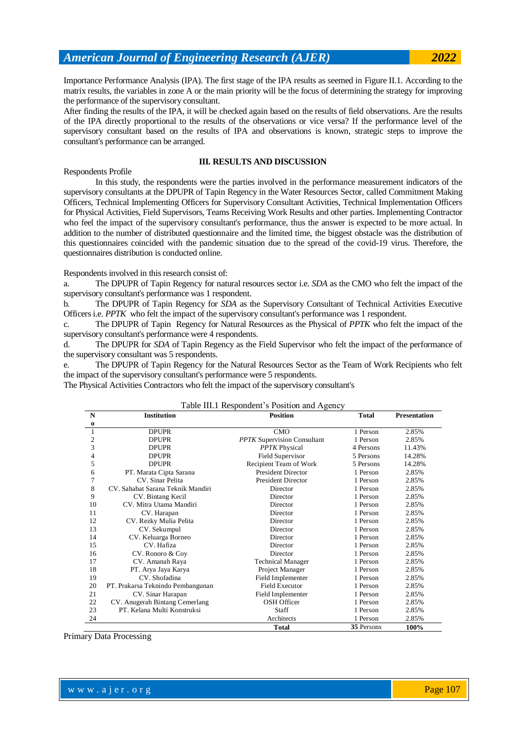Importance Performance Analysis (IPA). The first stage of the IPA results as seemed in Figure II.1. According to the matrix results, the variables in zone A or the main priority will be the focus of determining the strategy for improving the performance of the supervisory consultant.

After finding the results of the IPA, it will be checked again based on the results of field observations. Are the results of the IPA directly proportional to the results of the observations or vice versa? If the performance level of the supervisory consultant based on the results of IPA and observations is known, strategic steps to improve the consultant's performance can be arranged.

Respondents Profile

### **III. RESULTS AND DISCUSSION**

In this study, the respondents were the parties involved in the performance measurement indicators of the supervisory consultants at the DPUPR of Tapin Regency in the Water Resources Sector, called Commitment Making Officers, Technical Implementing Officers for Supervisory Consultant Activities, Technical Implementation Officers for Physical Activities, Field Supervisors, Teams Receiving Work Results and other parties. Implementing Contractor who feel the impact of the supervisory consultant's performance, thus the answer is expected to be more actual. In addition to the number of distributed questionnaire and the limited time, the biggest obstacle was the distribution of this questionnaires coincided with the pandemic situation due to the spread of the covid-19 virus. Therefore, the questionnaires distribution is conducted online.

Respondents involved in this research consist of:

a. The DPUPR of Tapin Regency for natural resources sector i.e. *SDA* as the CMO who felt the impact of the supervisory consultant's performance was 1 respondent.

b. The DPUPR of Tapin Regency for *SDA* as the Supervisory Consultant of Technical Activities Executive Officers i.e. *PPTK* who felt the impact of the supervisory consultant's performance was 1 respondent.

c. The DPUPR of Tapin Regency for Natural Resources as the Physical of *PPTK* who felt the impact of the supervisory consultant's performance were 4 respondents.

d. The DPUPR for *SDA* of Tapin Regency as the Field Supervisor who felt the impact of the performance of the supervisory consultant was 5 respondents.

e. The DPUPR of Tapin Regency for the Natural Resources Sector as the Team of Work Recipients who felt the impact of the supervisory consultant's performance were 5 respondents.

The Physical Activities Contractors who felt the impact of the supervisory consultant's

### Table III.1 Respondent's Position and Agency

| N              | <b>Institution</b><br><b>Position</b> |                                    | <b>Total</b> | <b>Presentation</b> |
|----------------|---------------------------------------|------------------------------------|--------------|---------------------|
| $\bf{0}$       |                                       |                                    |              |                     |
| $\mathbf{1}$   | <b>DPUPR</b>                          | <b>CMO</b>                         | 1 Person     | 2.85%               |
| 2              | <b>DPUPR</b>                          | <b>PPTK</b> Supervision Consultant | 1 Person     | 2.85%               |
| 3              | <b>DPUPR</b>                          | <b>PPTK</b> Physical               | 4 Persons    | 11.43%              |
| $\overline{4}$ | <b>DPUPR</b>                          | <b>Field Supervisor</b>            | 5 Persons    | 14.28%              |
| 5              | <b>DPUPR</b>                          | Recipient Team of Work             | 5 Persons    | 14.28%              |
| 6              | PT. Marata Cipta Sarana               | <b>President Director</b>          | 1 Person     | 2.85%               |
| 7              | CV. Sinar Pelita                      | <b>President Director</b>          | 1 Person     | 2.85%               |
| 8              | CV. Sahabat Sarana Teknik Mandiri     | Director                           | 1 Person     | 2.85%               |
| 9              | CV. Bintang Kecil                     | Director                           | 1 Person     | 2.85%               |
| 10             | CV. Mitra Utama Mandiri               | Director                           | 1 Person     | 2.85%               |
| 11             | CV. Harapan                           | Director                           | 1 Person     | 2.85%               |
| 12             | CV. Rezky Mulia Pelita                | Director                           | 1 Person     | 2.85%               |
| 13             | CV. Sekumpul                          | Director                           | 1 Person     | 2.85%               |
| 14             | CV. Keluarga Borneo                   | Director                           | 1 Person     | 2.85%               |
| 15             | CV. Hafiza                            | Director                           | 1 Person     | 2.85%               |
| 16             | CV. Ronoro & Coy                      | Director                           | 1 Person     | 2.85%               |
| 17             | CV. Amanah Raya                       | <b>Technical Manager</b>           | 1 Person     | 2.85%               |
| 18             | PT. Arya Jaya Karya                   | Project Manager                    | 1 Person     | 2.85%               |
| 19             | CV. Shofadina                         | Field Implementer                  | 1 Person     | 2.85%               |
| 20             | PT. Prakarsa Teknindo Pembangunan     | Field Executor                     | 1 Person     | 2.85%               |
| 21             | CV. Sinar Harapan                     | Field Implementer                  | 1 Person     | 2.85%               |
| 22             | CV. Anugerah Bintang Cemerlang        | <b>OSH Officer</b>                 | 1 Person     | 2.85%               |
| 23             | PT. Kelana Multi Konstruksi           | Staff                              | 1 Person     | 2.85%               |
| 24             |                                       | Architects                         | 1 Person     | 2.85%               |
|                |                                       | <b>Total</b>                       | 35 Persons   | 100%                |

Primary Data Processing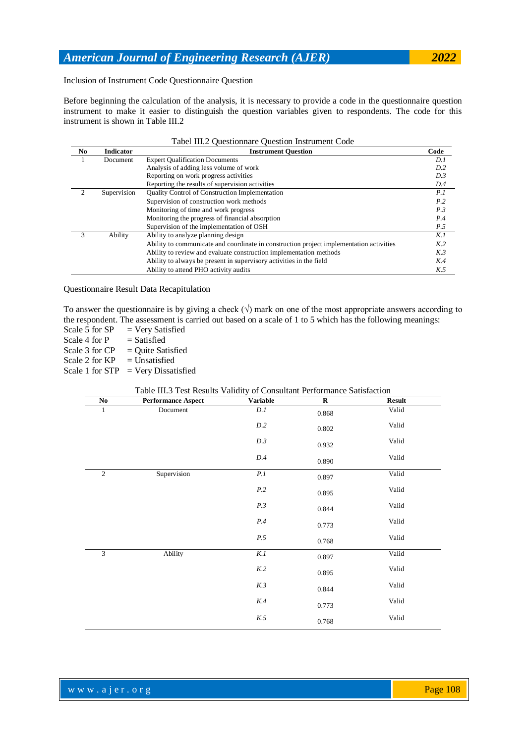Inclusion of Instrument Code Questionnaire Question

Before beginning the calculation of the analysis, it is necessary to provide a code in the questionnaire question instrument to make it easier to distinguish the question variables given to respondents. The code for this instrument is shown in Table III.2

|     | Tabel III.2 Questionnare Question Instrument Code |                                                                                         |                |  |  |  |
|-----|---------------------------------------------------|-----------------------------------------------------------------------------------------|----------------|--|--|--|
| No. | <b>Indicator</b>                                  | <b>Instrument Question</b>                                                              | Code           |  |  |  |
|     | Document                                          | <b>Expert Qualification Documents</b>                                                   | D.I            |  |  |  |
|     |                                                   | Analysis of adding less volume of work                                                  | D.2            |  |  |  |
|     |                                                   | Reporting on work progress activities                                                   | D.3            |  |  |  |
|     |                                                   | Reporting the results of supervision activities                                         | D.4            |  |  |  |
| 2   | Supervision                                       | Quality Control of Construction Implementation                                          | P.I            |  |  |  |
|     |                                                   | Supervision of construction work methods                                                | P.2            |  |  |  |
|     |                                                   | Monitoring of time and work progress                                                    | P.3            |  |  |  |
|     |                                                   | Monitoring the progress of financial absorption                                         | P.4            |  |  |  |
|     |                                                   | Supervision of the implementation of OSH                                                | P.5            |  |  |  |
| 3   | Ability                                           | Ability to analyze planning design                                                      | K.I            |  |  |  |
|     |                                                   | Ability to communicate and coordinate in construction project implementation activities | K <sub>2</sub> |  |  |  |
|     |                                                   | Ability to review and evaluate construction implementation methods                      | K.3            |  |  |  |
|     |                                                   | Ability to always be present in supervisory activities in the field                     | K.4            |  |  |  |
|     |                                                   | Ability to attend PHO activity audits                                                   | K.5            |  |  |  |

# Questionnaire Result Data Recapitulation

To answer the questionnaire is by giving a check  $(\sqrt{})$  mark on one of the most appropriate answers according to the respondent. The assessment is carried out based on a scale of 1 to 5 which has the following meanings:

Scale 5 for  $SP$  = Very Satisfied

Scale 4 for  $P = S \text{a}$ 

Scale 3 for  $CP$  = Quite Satisfied Scale 2 for  $KP$  = Unsatisfied

Scale 1 for  $STP = Very Dis satisfied$ 

### Table III.3 Test Results Validity of Consultant Performance Satisfaction

| $\bf No$     | <b>Performance Aspect</b> | Variable         | ${\bf R}$ | <b>Result</b> |
|--------------|---------------------------|------------------|-----------|---------------|
| $\mathbf{1}$ | Document                  | $\overline{D.I}$ | 0.868     | Valid         |
|              |                           | $D.2\,$          | $0.802\,$ | Valid         |
|              |                           | D.3              | 0.932     | Valid         |
|              |                           | D.4              | 0.890     | Valid         |
| $\sqrt{2}$   | Supervision               | P.I              | 0.897     | Valid         |
|              |                           | P.2              | 0.895     | Valid         |
|              |                           | P.3              | 0.844     | Valid         |
|              |                           | $\it P.4$        | 0.773     | Valid         |
|              |                           | P.5              | 0.768     | Valid         |
| 3            | Ability                   | K.I              | 0.897     | Valid         |
|              |                           | K.2              | 0.895     | Valid         |
|              |                           | $K.3$            | 0.844     | Valid         |
|              |                           | K.4              | 0.773     | Valid         |
|              |                           | K.5              | 0.768     | Valid         |

www.ajer.org where  $\mathcal{L} = \mathcal{L} \left( \mathcal{L} \right)$  is the set of  $\mathcal{L} \left( \mathcal{L} \right)$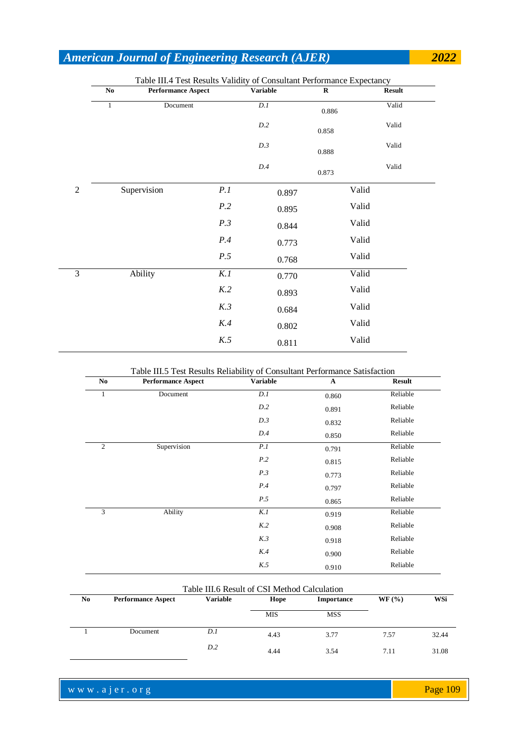| No.          | <b>Performance Aspect</b> |     | <b>Variable</b> |       | $\bf R$ | <b>Result</b> |
|--------------|---------------------------|-----|-----------------|-------|---------|---------------|
| $\mathbf{1}$ | Document                  |     | D.1             |       | 0.886   | Valid         |
|              |                           |     | D.2             |       | 0.858   | Valid         |
|              |                           |     | D.3             |       | 0.888   | Valid         |
|              |                           |     | $D.4\,$         |       | 0.873   | Valid         |
|              | Supervision               | P.1 |                 | 0.897 |         | Valid         |
|              |                           | P.2 |                 | 0.895 |         | Valid         |
|              |                           | P.3 |                 | 0.844 |         | Valid         |
|              |                           | P.4 |                 | 0.773 |         | Valid         |
|              |                           | P.5 |                 | 0.768 |         | Valid         |
|              | Ability                   | K.1 |                 | 0.770 |         | Valid         |
|              |                           | K.2 |                 | 0.893 |         | Valid         |
|              |                           | K.3 |                 | 0.684 |         | Valid         |
|              |                           | K.4 |                 | 0.802 |         | Valid         |
|              |                           | K.5 |                 | 0.811 |         | Valid         |
|              |                           |     |                 |       |         |               |

### Table III.5 Test Results Reliability of Consultant Performance Satisfaction

| N <sub>0</sub> | <b>Performance Aspect</b> | <b>Variable</b> | $\mathbf{A}$ | <b>Result</b> |
|----------------|---------------------------|-----------------|--------------|---------------|
| 1              | Document                  | D.I             | 0.860        | Reliable      |
|                |                           | D.2             | 0.891        | Reliable      |
|                |                           | D.3             | 0.832        | Reliable      |
|                |                           | D.4             | 0.850        | Reliable      |
| 2              | Supervision               | P.I             | 0.791        | Reliable      |
|                |                           | P.2             | 0.815        | Reliable      |
|                |                           | P.3             | 0.773        | Reliable      |
|                |                           | P.4             | 0.797        | Reliable      |
|                |                           | P.5             | 0.865        | Reliable      |
| 3              | Ability                   | K.1             | 0.919        | Reliable      |
|                |                           | K.2             | 0.908        | Reliable      |
|                |                           | K.3             | 0.918        | Reliable      |
|                |                           | K.4             | 0.900        | Reliable      |
|                |                           | K.5             | 0.910        | Reliable      |

|                | Table III.6 Result of CSI Method Calculation |       |            |            |      |       |  |  |
|----------------|----------------------------------------------|-------|------------|------------|------|-------|--|--|
| N <sub>0</sub> | <b>Performance Aspect</b>                    | WF(%) | WSi        |            |      |       |  |  |
|                |                                              |       | <b>MIS</b> | <b>MSS</b> |      |       |  |  |
|                | Document                                     | D.1   | 4.43       | 3.77       | 7.57 | 32.44 |  |  |
|                |                                              | D.2   | 4.44       | 3.54       | 7.11 | 31.08 |  |  |

www.ajer.org where  $\mathcal{L} = \mathcal{L} \left( \mathcal{L} \right)$  is the set of  $\mathcal{L} \left( \mathcal{L} \right)$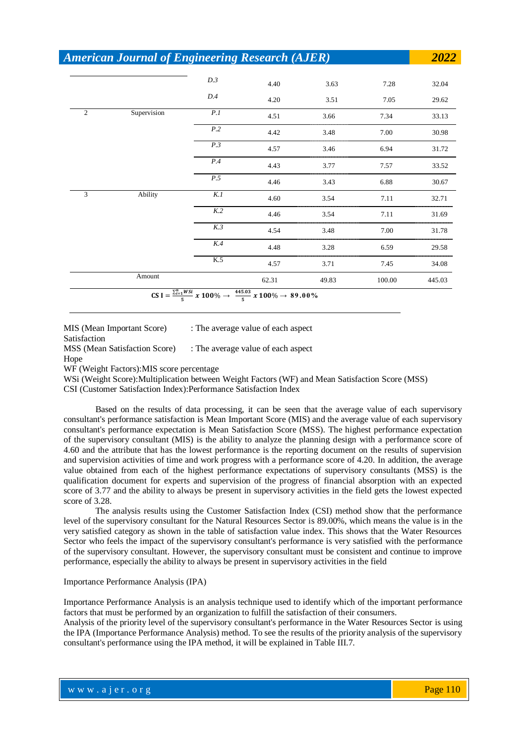|                | <b>American Journal of Engineering Research (AJER)</b> |     |       |       |        | 2022   |
|----------------|--------------------------------------------------------|-----|-------|-------|--------|--------|
|                |                                                        | D.3 | 4.40  | 3.63  | 7.28   | 32.04  |
|                |                                                        | D.4 | 4.20  | 3.51  | 7.05   | 29.62  |
| $\overline{c}$ | Supervision                                            | P.I | 4.51  | 3.66  | 7.34   | 33.13  |
|                |                                                        | P.2 | 4.42  | 3.48  | 7.00   | 30.98  |
|                |                                                        | P.3 | 4.57  | 3.46  | 6.94   | 31.72  |
|                |                                                        | P.4 | 4.43  | 3.77  | 7.57   | 33.52  |
|                |                                                        | P.5 | 4.46  | 3.43  | 6.88   | 30.67  |
| 3              | Ability                                                | K.1 | 4.60  | 3.54  | 7.11   | 32.71  |
|                |                                                        | K.2 | 4.46  | 3.54  | 7.11   | 31.69  |
|                |                                                        | K.3 | 4.54  | 3.48  | 7.00   | 31.78  |
|                |                                                        | K.4 | 4.48  | 3.28  | 6.59   | 29.58  |
|                |                                                        | K.5 | 4.57  | 3.71  | 7.45   | 34.08  |
|                | Amount                                                 |     | 62.31 | 49.83 | 100.00 | 445.03 |

MIS (Mean Important Score) : The average value of each aspect Satisfaction MSS (Mean Satisfaction Score) : The average value of each aspect Hope

WF (Weight Factors):MIS score percentage

WSi (Weight Score):Multiplication between Weight Factors (WF) and Mean Satisfaction Score (MSS)

CSI (Customer Satisfaction Index):Performance Satisfaction Index

Based on the results of data processing, it can be seen that the average value of each supervisory consultant's performance satisfaction is Mean Important Score (MIS) and the average value of each supervisory consultant's performance expectation is Mean Satisfaction Score (MSS). The highest performance expectation of the supervisory consultant (MIS) is the ability to analyze the planning design with a performance score of 4.60 and the attribute that has the lowest performance is the reporting document on the results of supervision and supervision activities of time and work progress with a performance score of 4.20. In addition, the average value obtained from each of the highest performance expectations of supervisory consultants (MSS) is the qualification document for experts and supervision of the progress of financial absorption with an expected score of 3.77 and the ability to always be present in supervisory activities in the field gets the lowest expected score of 3.28.

The analysis results using the Customer Satisfaction Index (CSI) method show that the performance level of the supervisory consultant for the Natural Resources Sector is 89.00%, which means the value is in the very satisfied category as shown in the table of satisfaction value index. This shows that the Water Resources Sector who feels the impact of the supervisory consultant's performance is very satisfied with the performance of the supervisory consultant. However, the supervisory consultant must be consistent and continue to improve performance, especially the ability to always be present in supervisory activities in the field

#### Importance Performance Analysis (IPA)

Importance Performance Analysis is an analysis technique used to identify which of the important performance factors that must be performed by an organization to fulfill the satisfaction of their consumers.

Analysis of the priority level of the supervisory consultant's performance in the Water Resources Sector is using the IPA (Importance Performance Analysis) method. To see the results of the priority analysis of the supervisory consultant's performance using the IPA method, it will be explained in Table III.7.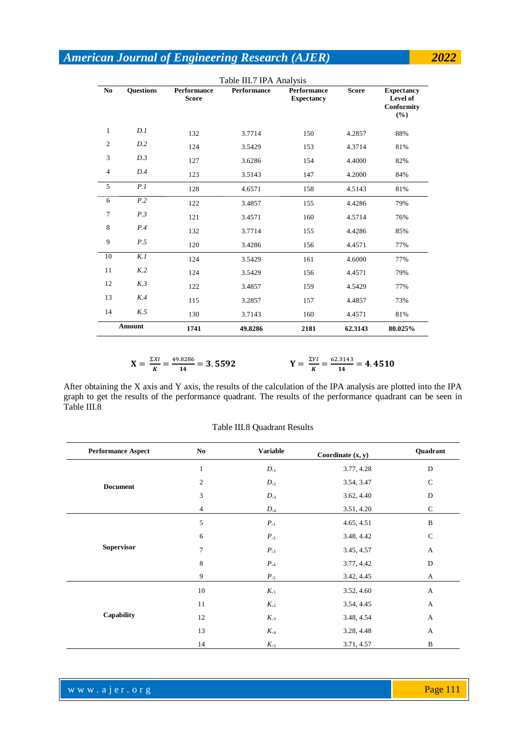|                | Table III.7 IPA Analysis |                                    |                    |                                         |              |                                                              |  |  |  |
|----------------|--------------------------|------------------------------------|--------------------|-----------------------------------------|--------------|--------------------------------------------------------------|--|--|--|
| N <sub>0</sub> | <b>Questions</b>         | <b>Performance</b><br><b>Score</b> | <b>Performance</b> | <b>Performance</b><br><b>Expectancy</b> | <b>Score</b> | <b>Expectancy</b><br>Level of<br><b>Conformity</b><br>$(\%)$ |  |  |  |
| $\mathbf{1}$   | D.I                      | 132                                | 3.7714             | 150                                     | 4.2857       | 88%                                                          |  |  |  |
| $\overline{2}$ | D.2                      | 124                                | 3.5429             | 153                                     | 4.3714       | 81%                                                          |  |  |  |
| 3              | D.3                      | 127                                | 3.6286             | 154                                     | 4.4000       | 82%                                                          |  |  |  |
| 4              | D.4                      | 123                                | 3.5143             | 147                                     | 4.2000       | 84%                                                          |  |  |  |
| 5              | P.1                      | 128                                | 4.6571             | 158                                     | 4.5143       | 81%                                                          |  |  |  |
| 6              | P.2                      | 122                                | 3.4857             | 155                                     | 4.4286       | 79%                                                          |  |  |  |
| 7              | P.3                      | 121                                | 3.4571             | 160                                     | 4.5714       | 76%                                                          |  |  |  |
| 8              | P.4                      | 132                                | 3.7714             | 155                                     | 4.4286       | 85%                                                          |  |  |  |
| 9              | P.5                      | 120                                | 3.4286             | 156                                     | 4.4571       | 77%                                                          |  |  |  |
| 10             | K.I                      | 124                                | 3.5429             | 161                                     | 4.6000       | 77%                                                          |  |  |  |
| 11             | K <sub>2</sub>           | 124                                | 3.5429             | 156                                     | 4.4571       | 79%                                                          |  |  |  |
| 12             | K.3                      | 122                                | 3.4857             | 159                                     | 4.5429       | 77%                                                          |  |  |  |
| 13             | K.4                      | 115                                | 3.2857             | 157                                     | 4.4857       | 73%                                                          |  |  |  |
| 14             | K.5                      | 130                                | 3.7143             | 160                                     | 4.4571       | 81%                                                          |  |  |  |
|                | Amount                   | 1741                               | 49.8286            | 2181                                    | 62.3143      | 80.025%                                                      |  |  |  |

$$
X = \frac{\Sigma X I}{K} = \frac{49.8286}{14} = 3.5592
$$
\n
$$
Y = \frac{\Sigma Y I}{K} = \frac{62.3143}{14} = 4.4510
$$

After obtaining the X axis and Y axis, the results of the calculation of the IPA analysis are plotted into the IPA graph to get the results of the performance quadrant. The results of the performance quadrant can be seen in Table III.8

| <b>Performance Aspect</b> | No           | Variable      | Coordinate $(x, y)$ | Quadrant     |
|---------------------------|--------------|---------------|---------------------|--------------|
|                           | $\mathbf{1}$ | $D_{-1}$      | 3.77, 4.28          | ${\bf D}$    |
| <b>Document</b>           | 2            | $D_{\cdot 2}$ | 3.54, 3.47          | $\mathsf{C}$ |
|                           | 3            | $D_{.3}$      | 3.62, 4.40          | D            |
|                           | 4            | $D_{\cdot 4}$ | 3.51, 4.20          | $\mathsf{C}$ |
|                           | 5            | $P_{-1}$      | 4.65, 4.51          | B            |
|                           | 6            | $P_{-2}$      | 3.48, 4.42          | $\mathbf C$  |
| <b>Supervisor</b>         | 7            | $P_{\cdot 3}$ | 3.45, 4.57          | A            |
|                           | 8            | $P_{-4}$      | 3.77, 4.42          | D            |
|                           | 9            | $P_{\cdot 5}$ | 3.42, 4.45          | A            |
|                           | 10           | $K_{\cdot 1}$ | 3.52, 4.60          | A            |
|                           | 11           | $K_{.2}$      | 3.54, 4.45          | A            |
| Capability                | 12           | $K_{-3}$      | 3.48, 4.54          | A            |
|                           | 13           | $K_{.4}$      | 3.28, 4.48          | A            |
|                           | 14           | $K_{.5}$      | 3.71, 4.57          | B            |

Table III.8 Quadrant Results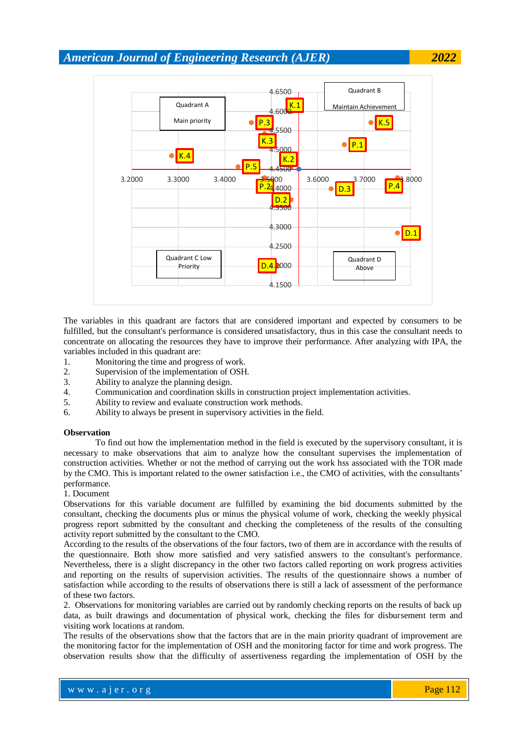

The variables in this quadrant are factors that are considered important and expected by consumers to be fulfilled, but the consultant's performance is considered unsatisfactory, thus in this case the consultant needs to concentrate on allocating the resources they have to improve their performance. After analyzing with IPA, the variables included in this quadrant are:

- 1. Monitoring the time and progress of work.
- 2. Supervision of the implementation of OSH.
- 3. Ability to analyze the planning design.
- 4. Communication and coordination skills in construction project implementation activities.
- 5. Ability to review and evaluate construction work methods.
- 6. Ability to always be present in supervisory activities in the field.

### **Observation**

To find out how the implementation method in the field is executed by the supervisory consultant, it is necessary to make observations that aim to analyze how the consultant supervises the implementation of construction activities. Whether or not the method of carrying out the work hss associated with the TOR made by the CMO. This is important related to the owner satisfaction i.e., the CMO of activities, with the consultants' performance.

### 1. Document

Observations for this variable document are fulfilled by examining the bid documents submitted by the consultant, checking the documents plus or minus the physical volume of work, checking the weekly physical progress report submitted by the consultant and checking the completeness of the results of the consulting activity report submitted by the consultant to the CMO.

According to the results of the observations of the four factors, two of them are in accordance with the results of the questionnaire. Both show more satisfied and very satisfied answers to the consultant's performance. Nevertheless, there is a slight discrepancy in the other two factors called reporting on work progress activities and reporting on the results of supervision activities. The results of the questionnaire shows a number of satisfaction while according to the results of observations there is still a lack of assessment of the performance of these two factors.

2. Observations for monitoring variables are carried out by randomly checking reports on the results of back up data, as built drawings and documentation of physical work, checking the files for disbursement term and visiting work locations at random.

The results of the observations show that the factors that are in the main priority quadrant of improvement are the monitoring factor for the implementation of OSH and the monitoring factor for time and work progress. The observation results show that the difficulty of assertiveness regarding the implementation of OSH by the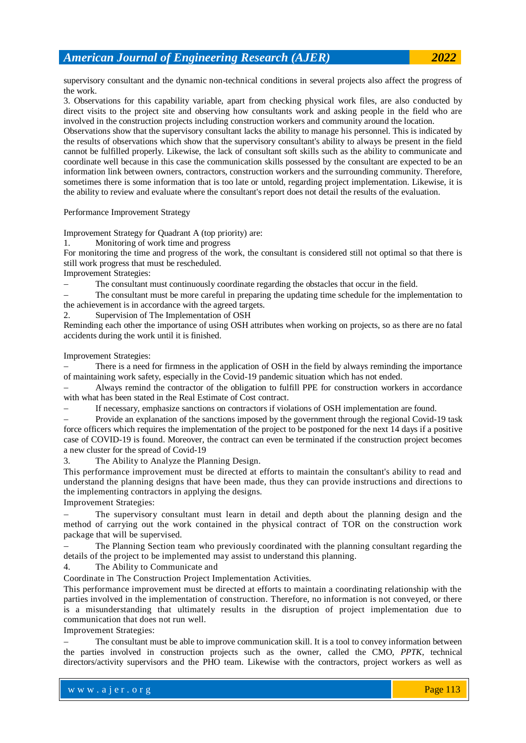supervisory consultant and the dynamic non-technical conditions in several projects also affect the progress of the work.

3. Observations for this capability variable, apart from checking physical work files, are also conducted by direct visits to the project site and observing how consultants work and asking people in the field who are involved in the construction projects including construction workers and community around the location.

Observations show that the supervisory consultant lacks the ability to manage his personnel. This is indicated by the results of observations which show that the supervisory consultant's ability to always be present in the field cannot be fulfilled properly. Likewise, the lack of consultant soft skills such as the ability to communicate and coordinate well because in this case the communication skills possessed by the consultant are expected to be an information link between owners, contractors, construction workers and the surrounding community. Therefore, sometimes there is some information that is too late or untold, regarding project implementation. Likewise, it is the ability to review and evaluate where the consultant's report does not detail the results of the evaluation.

### Performance Improvement Strategy

Improvement Strategy for Quadrant A (top priority) are:

1. Monitoring of work time and progress

For monitoring the time and progress of the work, the consultant is considered still not optimal so that there is still work progress that must be rescheduled.

Improvement Strategies:

The consultant must continuously coordinate regarding the obstacles that occur in the field.

 The consultant must be more careful in preparing the updating time schedule for the implementation to the achievement is in accordance with the agreed targets.

2. Supervision of The Implementation of OSH

Reminding each other the importance of using OSH attributes when working on projects, so as there are no fatal accidents during the work until it is finished.

Improvement Strategies:

 There is a need for firmness in the application of OSH in the field by always reminding the importance of maintaining work safety, especially in the Covid-19 pandemic situation which has not ended.

 Always remind the contractor of the obligation to fulfill PPE for construction workers in accordance with what has been stated in the Real Estimate of Cost contract.

If necessary, emphasize sanctions on contractors if violations of OSH implementation are found.

 Provide an explanation of the sanctions imposed by the government through the regional Covid-19 task force officers which requires the implementation of the project to be postponed for the next 14 days if a positive case of COVID-19 is found. Moreover, the contract can even be terminated if the construction project becomes a new cluster for the spread of Covid-19

3. The Ability to Analyze the Planning Design.

This performance improvement must be directed at efforts to maintain the consultant's ability to read and understand the planning designs that have been made, thus they can provide instructions and directions to the implementing contractors in applying the designs.

Improvement Strategies:

 The supervisory consultant must learn in detail and depth about the planning design and the method of carrying out the work contained in the physical contract of TOR on the construction work package that will be supervised.

 The Planning Section team who previously coordinated with the planning consultant regarding the details of the project to be implemented may assist to understand this planning.

4. The Ability to Communicate and

Coordinate in The Construction Project Implementation Activities.

This performance improvement must be directed at efforts to maintain a coordinating relationship with the parties involved in the implementation of construction. Therefore, no information is not conveyed, or there is a misunderstanding that ultimately results in the disruption of project implementation due to communication that does not run well.

Improvement Strategies:

 The consultant must be able to improve communication skill. It is a tool to convey information between the parties involved in construction projects such as the owner, called the CMO, *PPTK*, technical directors/activity supervisors and the PHO team. Likewise with the contractors, project workers as well as